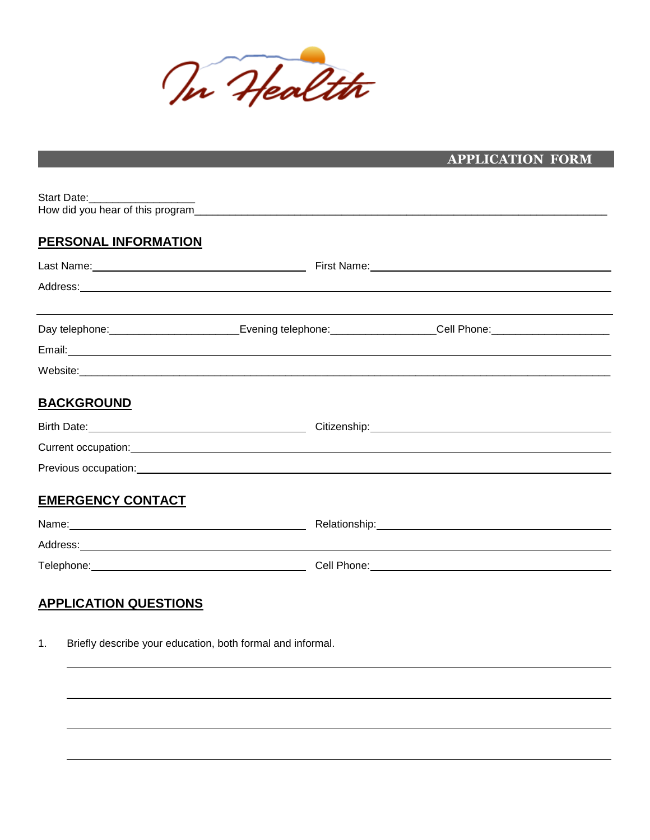

|                                |                                                                                                                                                                                                                                | <b>APPLICATION FORM</b>                                                                                                                                                                                                        |
|--------------------------------|--------------------------------------------------------------------------------------------------------------------------------------------------------------------------------------------------------------------------------|--------------------------------------------------------------------------------------------------------------------------------------------------------------------------------------------------------------------------------|
|                                |                                                                                                                                                                                                                                |                                                                                                                                                                                                                                |
| Start Date:___________________ |                                                                                                                                                                                                                                |                                                                                                                                                                                                                                |
|                                |                                                                                                                                                                                                                                |                                                                                                                                                                                                                                |
| <b>PERSONAL INFORMATION</b>    |                                                                                                                                                                                                                                |                                                                                                                                                                                                                                |
|                                |                                                                                                                                                                                                                                |                                                                                                                                                                                                                                |
|                                |                                                                                                                                                                                                                                |                                                                                                                                                                                                                                |
|                                |                                                                                                                                                                                                                                | Day telephone: _____________________________Evening telephone: __________________Cell Phone: _________________                                                                                                                 |
|                                |                                                                                                                                                                                                                                |                                                                                                                                                                                                                                |
|                                |                                                                                                                                                                                                                                |                                                                                                                                                                                                                                |
| <b>BACKGROUND</b>              |                                                                                                                                                                                                                                |                                                                                                                                                                                                                                |
|                                |                                                                                                                                                                                                                                |                                                                                                                                                                                                                                |
|                                |                                                                                                                                                                                                                                |                                                                                                                                                                                                                                |
|                                | Previous occupation: example of the contract of the contract of the contract of the contract of the contract of the contract of the contract of the contract of the contract of the contract of the contract of the contract o |                                                                                                                                                                                                                                |
| <b>EMERGENCY CONTACT</b>       |                                                                                                                                                                                                                                |                                                                                                                                                                                                                                |
|                                |                                                                                                                                                                                                                                |                                                                                                                                                                                                                                |
|                                | Address: Address: Address: Address: Address: Address: Address: Address: Address: Address: Address: A                                                                                                                           |                                                                                                                                                                                                                                |
|                                |                                                                                                                                                                                                                                | Telephone: Cell Phone: Cell Phone: Cell Phone: Cell Phone: Cell Phone: Cell Phone: Cell Phone: Cell Phone: Cell Phone: Cell Phone: Cell Phone: Cell Phone: Cell Phone: Cell Phone: Cell Phone: Cell Phone: Cell Phone: Cell Ph |
| <b>APPLICATION QUESTIONS</b>   |                                                                                                                                                                                                                                |                                                                                                                                                                                                                                |
| 1.                             | Briefly describe your education, both formal and informal.                                                                                                                                                                     |                                                                                                                                                                                                                                |
|                                |                                                                                                                                                                                                                                |                                                                                                                                                                                                                                |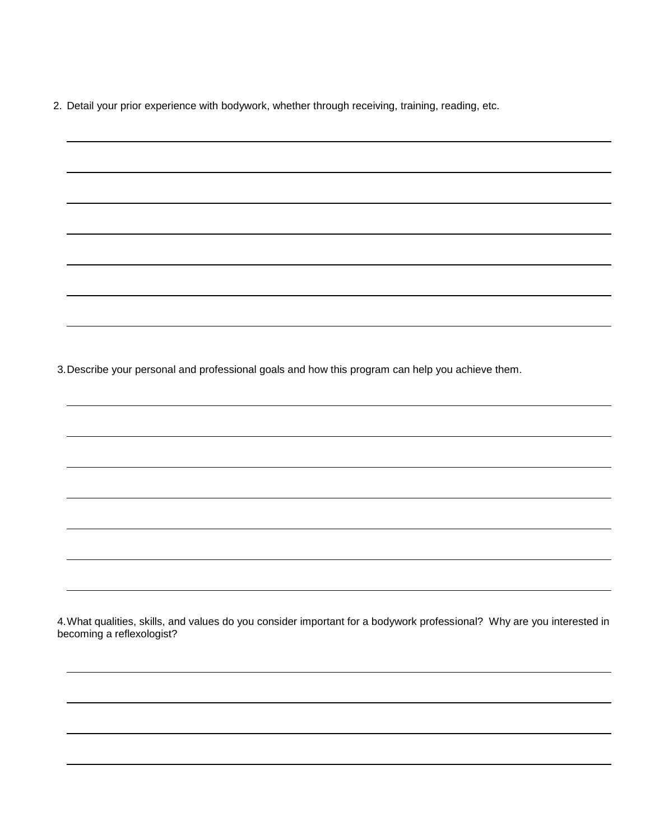2. Detail your prior experience with bodywork, whether through receiving, training, reading, etc.

3.Describe your personal and professional goals and how this program can help you achieve them.

4.What qualities, skills, and values do you consider important for a bodywork professional? Why are you interested in becoming a reflexologist?